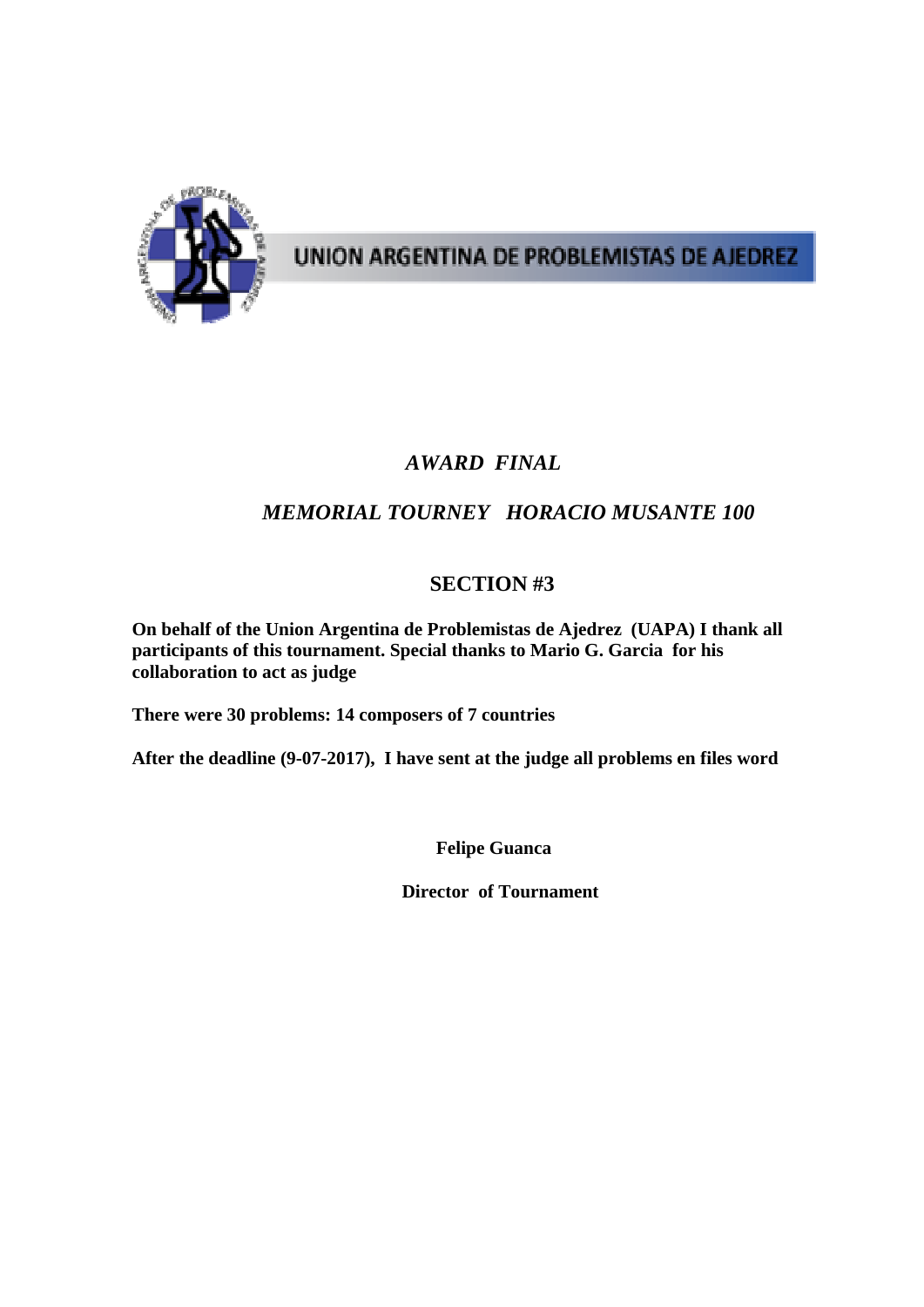

UNION ARGENTINA DE PROBLEMISTAS DE AJEDREZ

## *AWARD FINAL*

## *MEMORIAL TOURNEY HORACIO MUSANTE 100*

## **SECTION #3**

**On behalf of the Union Argentina de Problemistas de Ajedrez (UAPA) I thank all participants of this tournament. Special thanks to Mario G. Garcia for his collaboration to act as judge** 

**There were 30 problems: 14 composers of 7 countries** 

**After the deadline (9-07-2017), I have sent at the judge all problems en files word** 

 **Felipe Guanca** 

 **Director of Tournament**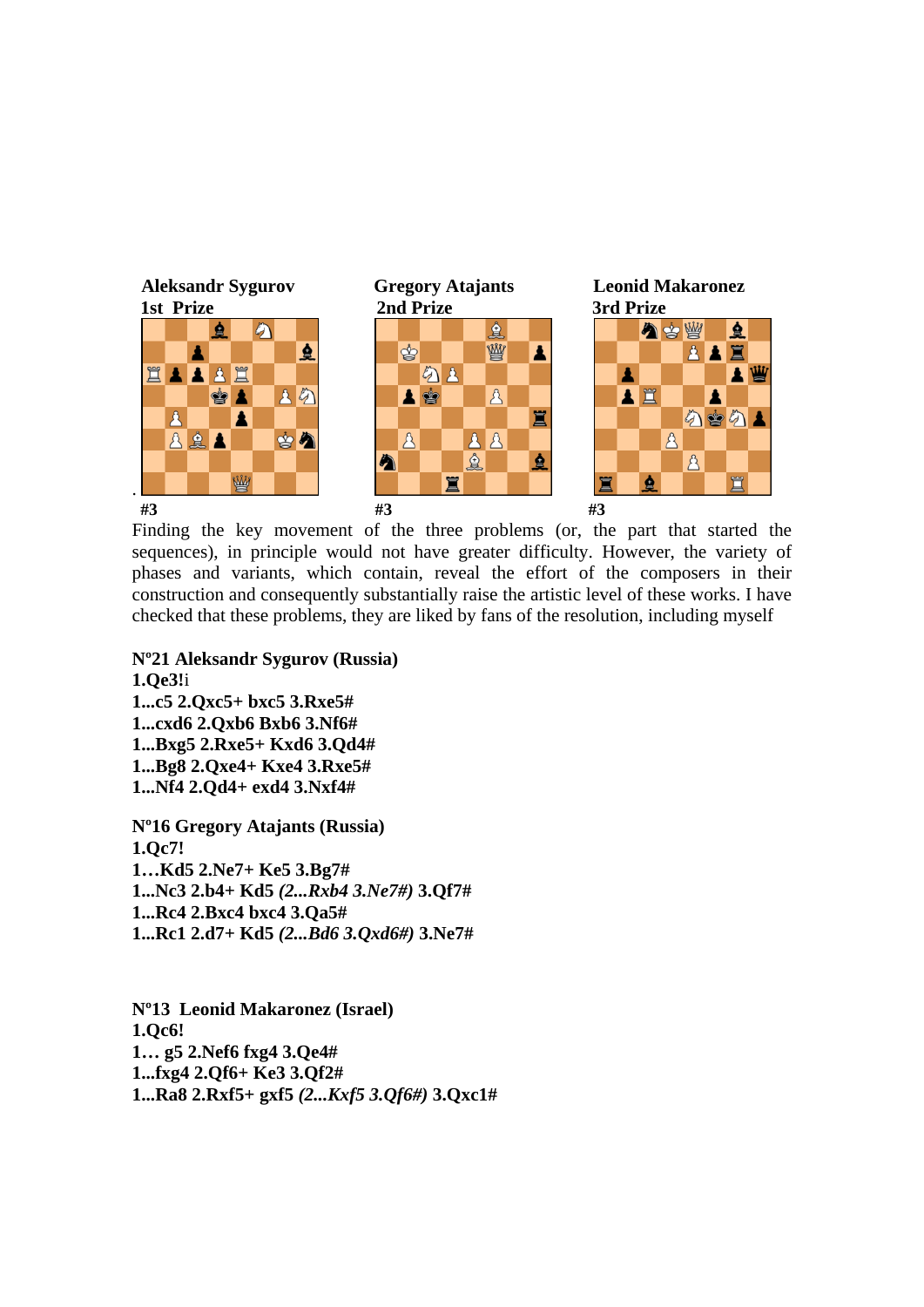

Finding the key movement of the three problems (or, the part that started the sequences), in principle would not have greater difficulty. However, the variety of phases and variants, which contain, reveal the effort of the composers in their construction and consequently substantially raise the artistic level of these works. I have checked that these problems, they are liked by fans of the resolution, including myself

**Nº21 Aleksandr Sygurov (Russia) 1.Qe3!**i **1...c5 2.Qxc5+ bxc5 3.Rxe5# 1...cxd6 2.Qxb6 Bxb6 3.Nf6# 1...Bxg5 2.Rxe5+ Kxd6 3.Qd4# 1...Bg8 2.Qxe4+ Kxe4 3.Rxe5# 1...Nf4 2.Qd4+ exd4 3.Nxf4# Nº16 Gregory Atajants (Russia) 1.Qc7!** 

**1…Kd5 2.Ne7+ Ke5 3.Bg7# 1...Nc3 2.b4+ Kd5** *(2...Rxb4 3.Ne7#)* **3.Qf7# 1...Rc4 2.Bxc4 bxc4 3.Qa5# 1...Rc1 2.d7+ Kd5** *(2...Bd6 3.Qxd6#)* **3.Ne7#** 

**Nº13 Leonid Makaronez (Israel) 1.Qc6! 1… g5 2.Nef6 fxg4 3.Qe4# 1...fxg4 2.Qf6+ Ke3 3.Qf2# 1...Ra8 2.Rxf5+ gxf5** *(2...Kxf5 3.Qf6#)* **3.Qxc1#**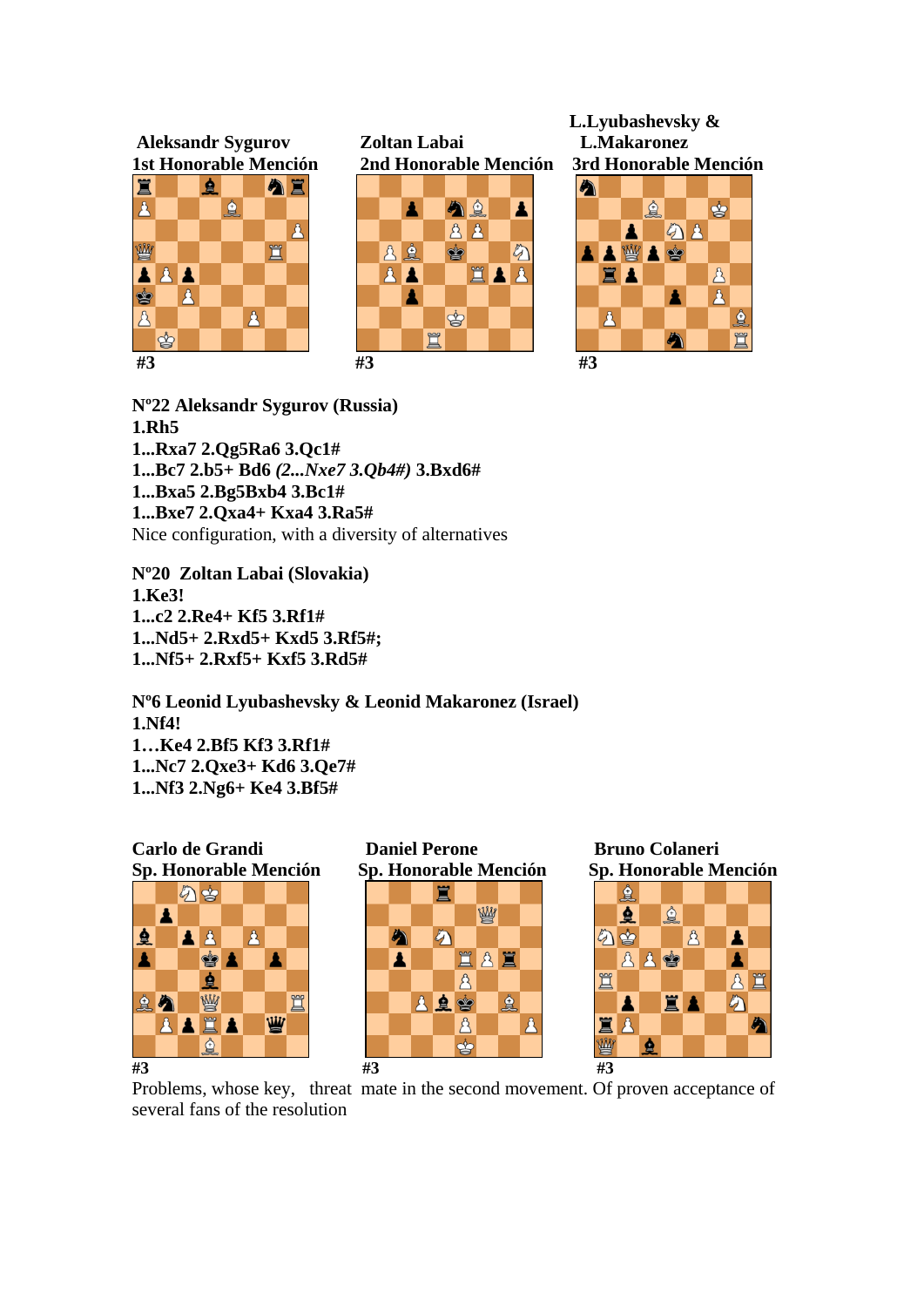

 **L.Lyubashevsky &** 



**Nº22 Aleksandr Sygurov (Russia) 1.Rh5 1...Rxa7 2.Qg5Ra6 3.Qc1# 1...Bc7 2.b5+ Bd6** *(2...Nxe7 3.Qb4#)* **3.Bxd6# 1...Bxa5 2.Bg5Bxb4 3.Bc1# 1...Bxe7 2.Qxa4+ Kxa4 3.Ra5#**  Nice configuration, with a diversity of alternatives

**Nº20 Zoltan Labai (Slovakia) 1.Ke3! 1...c2 2.Re4+ Kf5 3.Rf1# 1...Nd5+ 2.Rxd5+ Kxd5 3.Rf5#; 1...Nf5+ 2.Rxf5+ Kxf5 3.Rd5#** 

**Nº6 Leonid Lyubashevsky & Leonid Makaronez (Israel) 1.Nf4! 1…Ke4 2.Bf5 Kf3 3.Rf1# 1...Nc7 2.Qxe3+ Kd6 3.Qe7# 1...Nf3 2.Ng6+ Ke4 3.Bf5#** 



Problems, whose key, threat mate in the second movement. Of proven acceptance of several fans of the resolution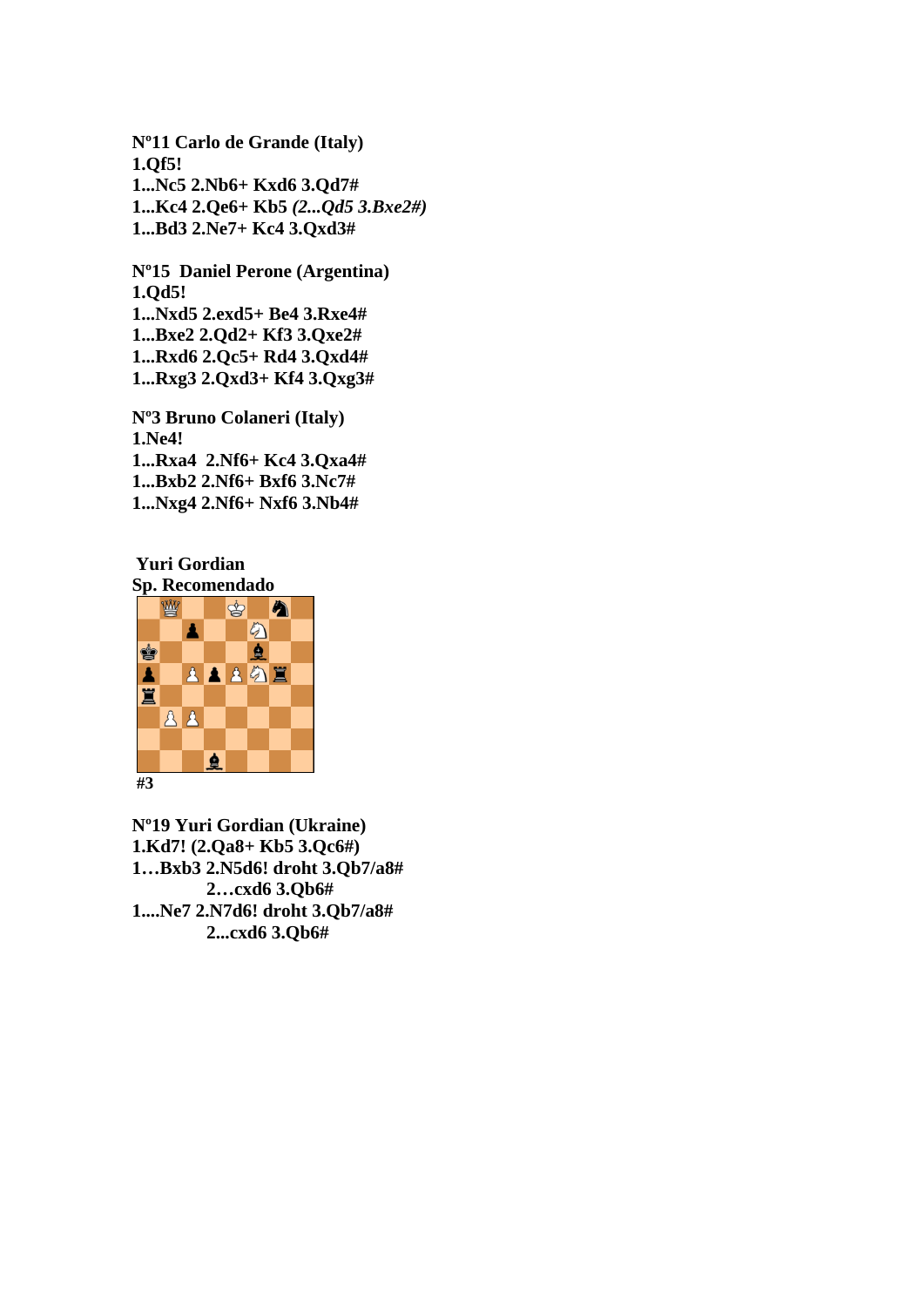**Nº11 Carlo de Grande (Italy) 1.Qf5! 1...Nc5 2.Nb6+ Kxd6 3.Qd7# 1...Kc4 2.Qe6+ Kb5** *(2...Qd5 3.Bxe2#)*  **1...Bd3 2.Ne7+ Kc4 3.Qxd3#** 

**Nº15 Daniel Perone (Argentina) 1.Qd5! 1...Nxd5 2.exd5+ Be4 3.Rxe4# 1...Bxe2 2.Qd2+ Kf3 3.Qxe2# 1...Rxd6 2.Qc5+ Rd4 3.Qxd4# 1...Rxg3 2.Qxd3+ Kf4 3.Qxg3#** 

**Nº3 Bruno Colaneri (Italy) 1.Ne4! 1...Rxa4 2.Nf6+ Kc4 3.Qxa4# 1...Bxb2 2.Nf6+ Bxf6 3.Nc7# 1...Nxg4 2.Nf6+ Nxf6 3.Nb4#** 

**Yuri Gordian Sp. Recomendado** 



**Nº19 Yuri Gordian (Ukraine) 1.Kd7! (2.Qa8+ Kb5 3.Qc6#) 1…Bxb3 2.N5d6! droht 3.Qb7/a8# 2…cxd6 3.Qb6# 1....Ne7 2.N7d6! droht 3.Qb7/a8# 2...cxd6 3.Qb6#**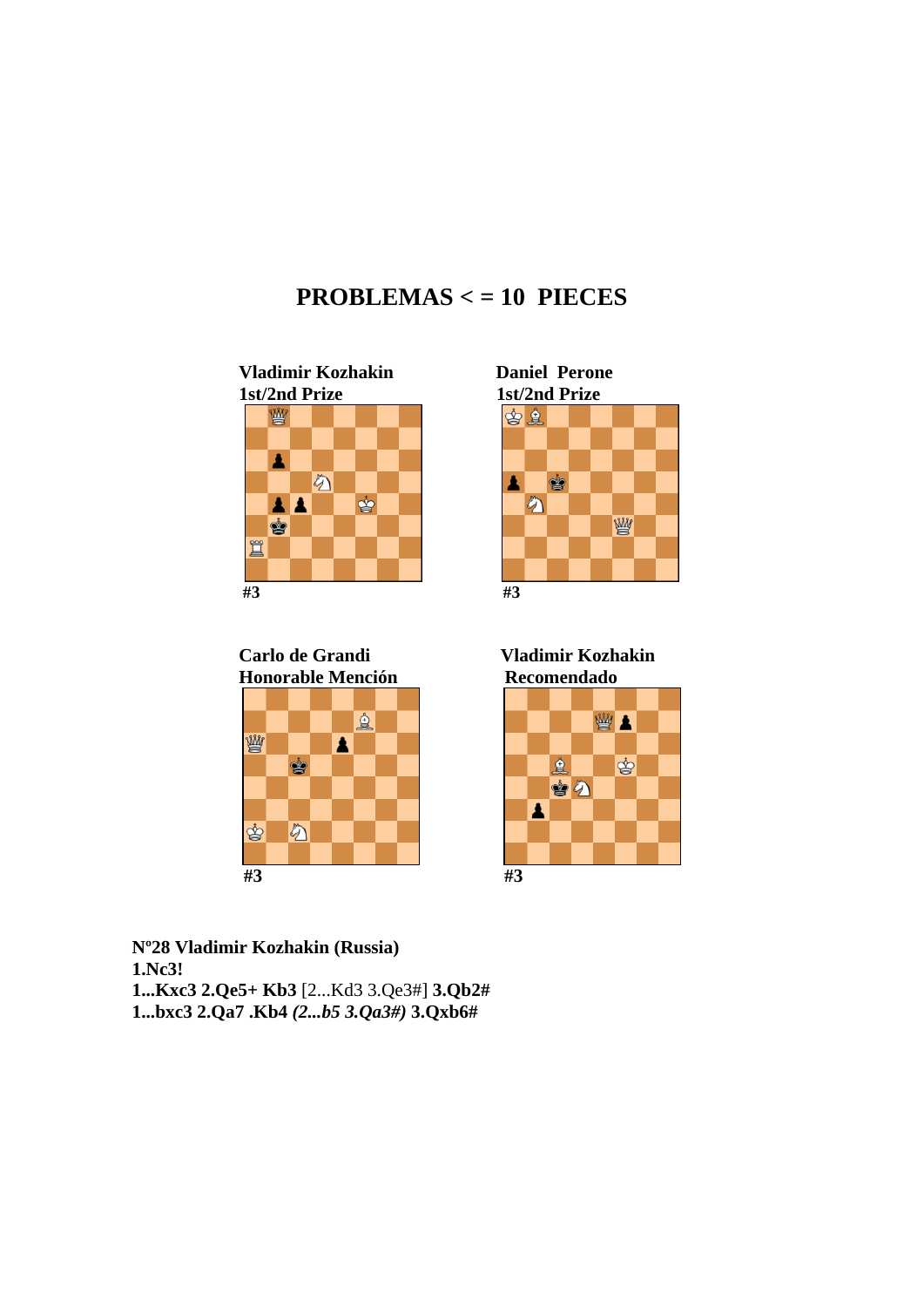## **PROBLEMAS < = 10 PIECES**





 **Carlo de Grandi Vladimir Kozhakin Honorable Mención Recomendado** 









**Nº28 Vladimir Kozhakin (Russia) 1.Nc3! 1...Kxc3 2.Qe5+ Kb3** [2...Kd3 3.Qe3#] **3.Qb2# 1...bxc3 2.Qa7 .Kb4** *(2...b5 3.Qa3#)* **3.Qxb6#**